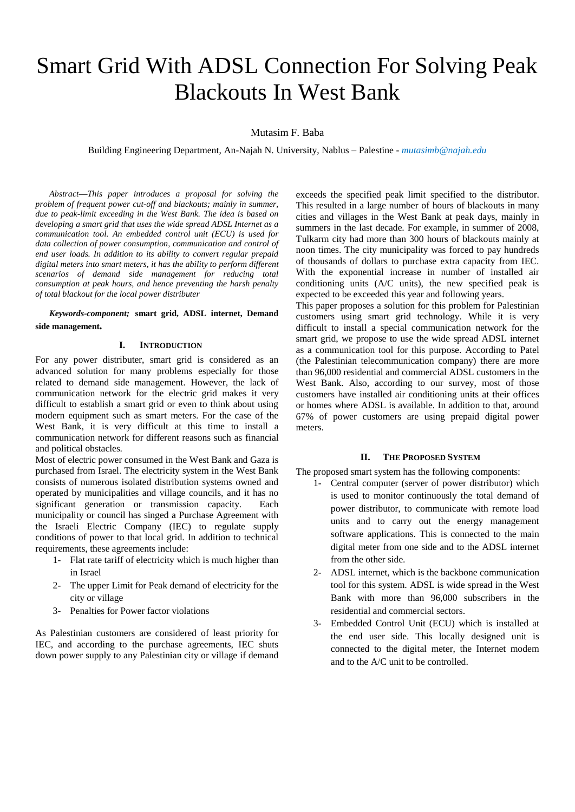# Smart Grid With ADSL Connection For Solving Peak Blackouts In West Bank

Mutasim F. Baba

Building Engineering Department, An-Najah N. University, Nablus – Palestine - *mutasimb@najah.edu*

*Abstract***—***This paper introduces a proposal for solving the problem of frequent power cut-off and blackouts; mainly in summer, due to peak-limit exceeding in the West Bank. The idea is based on developing a smart grid that uses the wide spread ADSL Internet as a communication tool. An embedded control unit (ECU) is used for data collection of power consumption, communication and control of end user loads. In addition to its ability to convert regular prepaid digital meters into smart meters, it has the ability to perform different scenarios of demand side management for reducing total consumption at peak hours, and hence preventing the harsh penalty of total blackout for the local power distributer*

*Keywords-component;* **smart grid, ADSL internet, Demand side management***.*

# **I. INTRODUCTION**

For any power distributer, smart grid is considered as an advanced solution for many problems especially for those related to demand side management. However, the lack of communication network for the electric grid makes it very difficult to establish a smart grid or even to think about using modern equipment such as smart meters. For the case of the West Bank, it is very difficult at this time to install a communication network for different reasons such as financial and political obstacles.

Most of electric power consumed in the West Bank and Gaza is purchased from Israel. The electricity system in the West Bank consists of numerous isolated distribution systems owned and operated by municipalities and village councils, and it has no significant generation or transmission capacity. Each municipality or council has singed a Purchase Agreement with the Israeli Electric Company (IEC) to regulate supply conditions of power to that local grid. In addition to technical requirements, these agreements include:

- 1- Flat rate tariff of electricity which is much higher than in Israel
- 2- The upper Limit for Peak demand of electricity for the city or village
- 3- Penalties for Power factor violations

As Palestinian customers are considered of least priority for IEC, and according to the purchase agreements, IEC shuts down power supply to any Palestinian city or village if demand exceeds the specified peak limit specified to the distributor. This resulted in a large number of hours of blackouts in many cities and villages in the West Bank at peak days, mainly in summers in the last decade. For example, in summer of 2008, Tulkarm city had more than 300 hours of blackouts mainly at noon times. The city municipality was forced to pay hundreds of thousands of dollars to purchase extra capacity from IEC. With the exponential increase in number of installed air conditioning units (A/C units), the new specified peak is expected to be exceeded this year and following years.

This paper proposes a solution for this problem for Palestinian customers using smart grid technology. While it is very difficult to install a special communication network for the smart grid, we propose to use the wide spread ADSL internet as a communication tool for this purpose. According to Patel (the Palestinian telecommunication company) there are more than 96,000 residential and commercial ADSL customers in the West Bank. Also, according to our survey, most of those customers have installed air conditioning units at their offices or homes where ADSL is available. In addition to that, around 67% of power customers are using prepaid digital power meters.

## **II. THE PROPOSED SYSTEM**

The proposed smart system has the following components:

- 1- Central computer (server of power distributor) which is used to monitor continuously the total demand of power distributor, to communicate with remote load units and to carry out the energy management software applications. This is connected to the main digital meter from one side and to the ADSL internet from the other side.
- 2- ADSL internet, which is the backbone communication tool for this system. ADSL is wide spread in the West Bank with more than 96,000 subscribers in the residential and commercial sectors.
- 3- Embedded Control Unit (ECU) which is installed at the end user side. This locally designed unit is connected to the digital meter, the Internet modem and to the A/C unit to be controlled.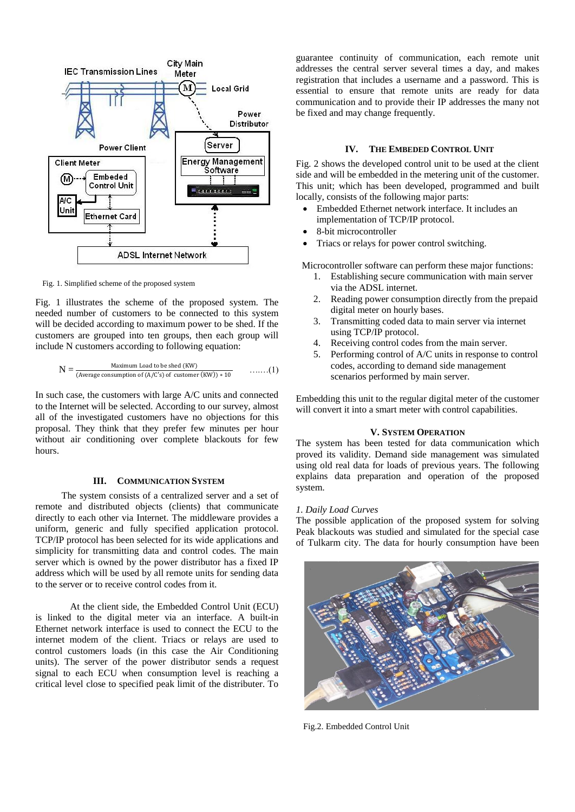

Fig. 1. Simplified scheme of the proposed system

Fig. 1 illustrates the scheme of the proposed system. The needed number of customers to be connected to this system will be decided according to maximum power to be shed. If the customers are grouped into ten groups, then each group will include N customers according to following equation:

$$
N = \frac{\text{Maximum Load to be shed (KW)}}{(\text{Average consumption of (A/C's) of customer (KW)) * 10} \quad \dots \dots (1)
$$

In such case, the customers with large A/C units and connected to the Internet will be selected. According to our survey, almost all of the investigated customers have no objections for this proposal. They think that they prefer few minutes per hour without air conditioning over complete blackouts for few hours.

## **III. COMMUNICATION SYSTEM**

The system consists of a centralized server and a set of remote and distributed objects (clients) that communicate directly to each other via Internet. The middleware provides a uniform, generic and fully specified application protocol. TCP/IP protocol has been selected for its wide applications and simplicity for transmitting data and control codes. The main server which is owned by the power distributor has a fixed IP address which will be used by all remote units for sending data to the server or to receive control codes from it.

At the client side, the Embedded Control Unit (ECU) is linked to the digital meter via an interface. A built-in Ethernet network interface is used to connect the ECU to the internet modem of the client. Triacs or relays are used to control customers loads (in this case the Air Conditioning units). The server of the power distributor sends a request signal to each ECU when consumption level is reaching a critical level close to specified peak limit of the distributer. To

guarantee continuity of communication, each remote unit addresses the central server several times a day, and makes registration that includes a username and a password. This is essential to ensure that remote units are ready for data communication and to provide their IP addresses the many not be fixed and may change frequently.

# **IV. THE EMBEDED CONTROL UNIT**

Fig. 2 shows the developed control unit to be used at the client side and will be embedded in the metering unit of the customer. This unit; which has been developed, programmed and built locally, consists of the following major parts:

- Embedded Ethernet network interface. It includes an implementation of TCP/IP protocol.
- 8-bit microcontroller
- Triacs or relays for power control switching.

Microcontroller software can perform these major functions:

- 1. Establishing secure communication with main server via the ADSL internet.
- 2. Reading power consumption directly from the prepaid digital meter on hourly bases.
- 3. Transmitting coded data to main server via internet using TCP/IP protocol.
- 4. Receiving control codes from the main server.
- 5. Performing control of A/C units in response to control codes, according to demand side management scenarios performed by main server.

Embedding this unit to the regular digital meter of the customer will convert it into a smart meter with control capabilities.

#### **V. SYSTEM OPERATION**

The system has been tested for data communication which proved its validity. Demand side management was simulated using old real data for loads of previous years. The following explains data preparation and operation of the proposed system.

#### *1. Daily Load Curves*

The possible application of the proposed system for solving Peak blackouts was studied and simulated for the special case of Tulkarm city. The data for hourly consumption have been



Fig.2. Embedded Control Unit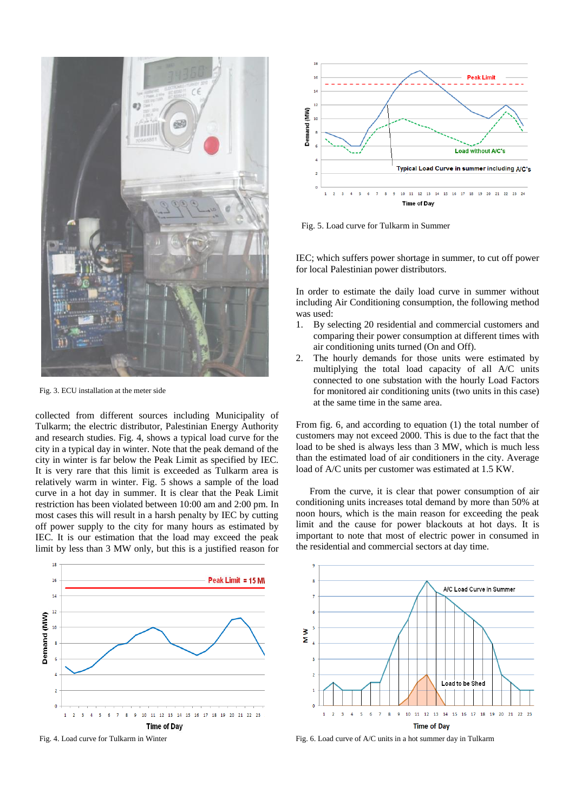

Fig. 3. ECU installation at the meter side

collected from different sources including Municipality of Tulkarm; the electric distributor, Palestinian Energy Authority and research studies. Fig. 4, shows a typical load curve for the city in a typical day in winter. Note that the peak demand of the city in winter is far below the Peak Limit as specified by IEC. It is very rare that this limit is exceeded as Tulkarm area is relatively warm in winter. Fig. 5 shows a sample of the load curve in a hot day in summer. It is clear that the Peak Limit restriction has been violated between 10:00 am and 2:00 pm. In most cases this will result in a harsh penalty by IEC by cutting off power supply to the city for many hours as estimated by IEC. It is our estimation that the load may exceed the peak limit by less than 3 MW only, but this is a justified reason for





Fig. 5. Load curve for Tulkarm in Summer

IEC; which suffers power shortage in summer, to cut off power for local Palestinian power distributors.

In order to estimate the daily load curve in summer without including Air Conditioning consumption, the following method was used:

- 1. By selecting 20 residential and commercial customers and comparing their power consumption at different times with air conditioning units turned (On and Off).
- 2. The hourly demands for those units were estimated by multiplying the total load capacity of all A/C units connected to one substation with the hourly Load Factors for monitored air conditioning units (two units in this case) at the same time in the same area.

From fig. 6, and according to equation (1) the total number of customers may not exceed 2000. This is due to the fact that the load to be shed is always less than 3 MW, which is much less than the estimated load of air conditioners in the city. Average load of A/C units per customer was estimated at 1.5 KW.

From the curve, it is clear that power consumption of air conditioning units increases total demand by more than 50% at noon hours, which is the main reason for exceeding the peak limit and the cause for power blackouts at hot days. It is important to note that most of electric power in consumed in the residential and commercial sectors at day time.



Fig. 6. Load curve of A/C units in a hot summer day in Tulkarm